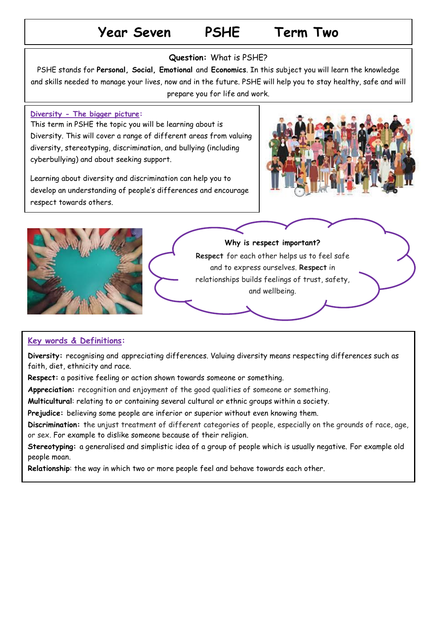# **Year Seven PSHE Term Two**

### **Question:** What is PSHE?

PSHE stands for **Personal, Social, Emotional** and **Economics**. In this subject you will learn the knowledge and skills needed to manage your lives, now and in the future. PSHE will help you to stay healthy, safe and will prepare you for life and work.

#### **Diversity - The bigger picture:**

This term in PSHE the topic you will be learning about is Diversity. This will cover a range of different areas from valuing diversity, stereotyping, discrimination, and bullying (including cyberbullying) and about seeking support.

Learning about diversity and discrimination can help you to develop an understanding of people's differences and encourage respect towards others.





## **Key words & Definitions:**

**Diversity:** recognising and appreciating differences. Valuing diversity means respecting differences such as faith, diet, ethnicity and race.

**Respect:** a positive feeling or action shown towards someone or something.

**Appreciation:** recognition and enjoyment of the good qualities of someone or something.

**Multicultural**: relating to or containing several cultural or ethnic groups within a society.

**Prejudice:** believing some people are inferior or superior without even knowing them.

**Discrimination:** the unjust treatment of different categories of people, especially on the grounds of race, age, or sex. For example to dislike someone because of their religion.

**Stereotyping:** a generalised and simplistic idea of a group of people which is usually negative. For example old people moan.

**Relationship**: the way in which two or more people feel and behave towards each other.